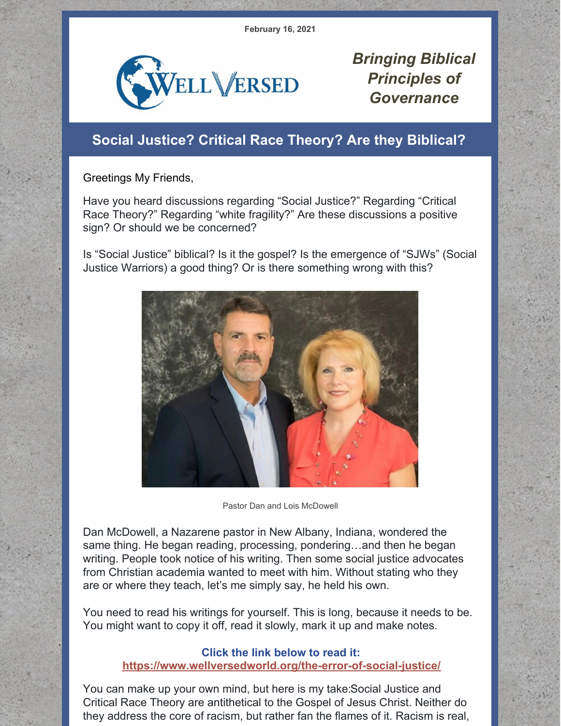**February 16, 2021**



*Bringing Biblical Principles of Governance*

## **Social Justice? Critical Race Theory? Are they Biblical?**

Greetings My Friends,

Have you heard discussions regarding "Social Justice?" Regarding "Critical Race Theory?" Regarding "white fragility?" Are these discussions a positive sign? Or should we be concerned?

Is "Social Justice" biblical? Is it the gospel? Is the emergence of "SJWs" (Social Justice Warriors) a good thing? Or is there something wrong with this?



Pastor Dan and Lois McDowell

Dan McDowell, a Nazarene pastor in New Albany, Indiana, wondered the same thing. He began reading, processing, pondering…and then he began writing. People took notice of his writing. Then some social justice advocates from Christian academia wanted to meet with him. Without stating who they are or where they teach, let's me simply say, he held his own.

You need to read his writings for yourself. This is long, because it needs to be. You might want to copy it off, read it slowly, mark it up and make notes.

## **Click the link below to read it: <https://www.wellversedworld.org/the-error-of-social-justice/>**

You can make up your own mind, but here is my take:Social Justice and Critical Race Theory are antithetical to the Gospel of Jesus Christ. Neither do they address the core of racism, but rather fan the flames of it. Racism is real,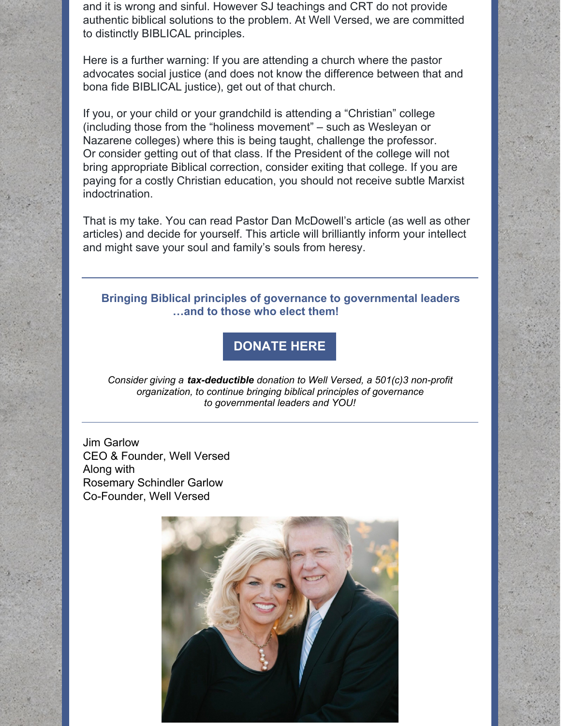and it is wrong and sinful. However SJ teachings and CRT do not provide authentic biblical solutions to the problem. At Well Versed, we are committed to distinctly BIBLICAL principles.

Here is a further warning: If you are attending a church where the pastor advocates social justice (and does not know the difference between that and bona fide BIBLICAL justice), get out of that church.

If you, or your child or your grandchild is attending a "Christian" college (including those from the "holiness movement" – such as Wesleyan or Nazarene colleges) where this is being taught, challenge the professor. Or consider getting out of that class. If the President of the college will not bring appropriate Biblical correction, consider exiting that college. If you are paying for a costly Christian education, you should not receive subtle Marxist indoctrination.

That is my take. You can read Pastor Dan McDowell's article (as well as other articles) and decide for yourself. This article will brilliantly inform your intellect and might save your soul and family's souls from heresy.

## **Bringing Biblical principles of governance to governmental leaders …and to those who elect them!**

## **[DONATE](http://www.wellversedworld.org/Donate) HERE**

*Consider giving a tax-deductible donation to Well Versed, a 501(c)3 non-profit organization, to continue bringing biblical principles of governance to governmental leaders and YOU!*

Jim Garlow CEO & Founder, Well Versed Along with Rosemary Schindler Garlow Co-Founder, Well Versed